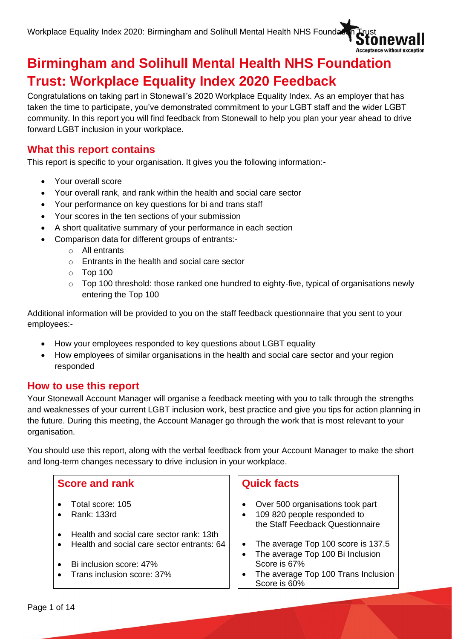

# **Birmingham and Solihull Mental Health NHS Foundation Trust: Workplace Equality Index 2020 Feedback**

Congratulations on taking part in Stonewall's 2020 Workplace Equality Index. As an employer that has taken the time to participate, you've demonstrated commitment to your LGBT staff and the wider LGBT community. In this report you will find feedback from Stonewall to help you plan your year ahead to drive forward LGBT inclusion in your workplace.

## **What this report contains**

This report is specific to your organisation. It gives you the following information:-

- Your overall score
- Your overall rank, and rank within the health and social care sector
- Your performance on key questions for bi and trans staff
- Your scores in the ten sections of your submission
- A short qualitative summary of your performance in each section
- Comparison data for different groups of entrants:
	- o All entrants
	- o Entrants in the health and social care sector
	- $\circ$  Top 100
	- $\circ$  Top 100 threshold: those ranked one hundred to eighty-five, typical of organisations newly entering the Top 100

Additional information will be provided to you on the staff feedback questionnaire that you sent to your employees:-

- How your employees responded to key questions about LGBT equality
- How employees of similar organisations in the health and social care sector and your region responded

## **How to use this report**

Your Stonewall Account Manager will organise a feedback meeting with you to talk through the strengths and weaknesses of your current LGBT inclusion work, best practice and give you tips for action planning in the future. During this meeting, the Account Manager go through the work that is most relevant to your organisation.

You should use this report, along with the verbal feedback from your Account Manager to make the short and long-term changes necessary to drive inclusion in your workplace.

### **Score and rank**

- Total score: 105
- Rank: 133rd
- Health and social care sector rank: 13th
- Health and social care sector entrants: 64
- Bi inclusion score: 47%
- Trans inclusion score: 37%

## **Quick facts**

- Over 500 organisations took part
- 109 820 people responded to the Staff Feedback Questionnaire
- The average Top 100 score is 137.5
- The average Top 100 Bi Inclusion Score is 67%
- The average Top 100 Trans Inclusion Score is 60%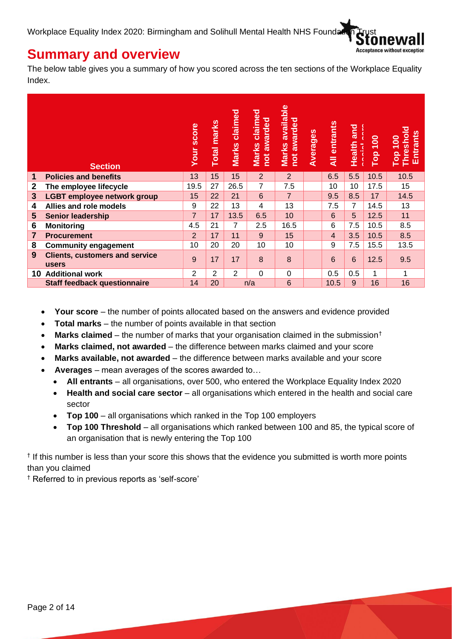

## **Summary and overview**

The below table gives you a summary of how you scored across the ten sections of the Workplace Equality Index.

|                | <b>Section</b>                                 | Your score     | Total marks | Marks claimed | claimed<br>not awarded<br><b>Marks</b> | Marks available<br>not awarded | Averages | All entrants | Health and     | Top 100 | Threshold<br><b>Entrants</b><br>Top 100 |
|----------------|------------------------------------------------|----------------|-------------|---------------|----------------------------------------|--------------------------------|----------|--------------|----------------|---------|-----------------------------------------|
| 1              | <b>Policies and benefits</b>                   | 13             | 15          | 15            | $\overline{2}$                         | 2                              |          | 6.5          | 5.5            | 10.5    | 10.5                                    |
| $\mathbf{2}$   | The employee lifecycle                         | 19.5           | 27          | 26.5          | 7                                      | 7.5                            |          | 10           | 10             | 17.5    | 15                                      |
| $\mathbf{3}$   | <b>LGBT employee network group</b>             | 15             | 22          | 21            | 6                                      | $\overline{7}$                 |          | 9.5          | 8.5            | 17      | 14.5                                    |
| 4              | Allies and role models                         | 9              | 22          | 13            | 4                                      | 13                             |          | 7.5          | $\overline{7}$ | 14.5    | 13                                      |
| 5              | <b>Senior leadership</b>                       | $\overline{7}$ | 17          | 13.5          | 6.5                                    | 10                             |          | 6            | 5              | 12.5    | 11                                      |
| 6              | <b>Monitoring</b>                              | 4.5            | 21          | 7             | 2.5                                    | 16.5                           |          | 6            | 7.5            | 10.5    | 8.5                                     |
| $\overline{7}$ | <b>Procurement</b>                             | $\overline{2}$ | 17          | 11            | 9                                      | 15                             |          | 4            | 3.5            | 10.5    | 8.5                                     |
| 8              | <b>Community engagement</b>                    | 10             | 20          | 20            | 10                                     | 10                             |          | 9            | 7.5            | 15.5    | 13.5                                    |
| 9              | <b>Clients, customers and service</b><br>users | 9              | 17          | 17            | 8                                      | 8                              |          | 6            | 6              | 12.5    | 9.5                                     |
| 10             | <b>Additional work</b>                         | $\overline{2}$ | 2           | $\mathcal{P}$ | $\Omega$                               | 0                              |          | 0.5          | 0.5            | 1       |                                         |
|                | <b>Staff feedback questionnaire</b>            | 14             | 20          |               | n/a                                    | 6                              |          | 10.5         | 9              | 16      | 16                                      |

- **Your score** the number of points allocated based on the answers and evidence provided
- **Total marks** the number of points available in that section
- **Marks claimed** the number of marks that your organisation claimed in the submission†
- **Marks claimed, not awarded** the difference between marks claimed and your score
- **Marks available, not awarded** the difference between marks available and your score
- **Averages** mean averages of the scores awarded to…
	- **All entrants** all organisations, over 500, who entered the Workplace Equality Index 2020
	- **Health and social care sector** all organisations which entered in the health and social care sector
	- **Top 100** all organisations which ranked in the Top 100 employers
	- **Top 100 Threshold** all organisations which ranked between 100 and 85, the typical score of an organisation that is newly entering the Top 100

† If this number is less than your score this shows that the evidence you submitted is worth more points than you claimed

† Referred to in previous reports as 'self-score'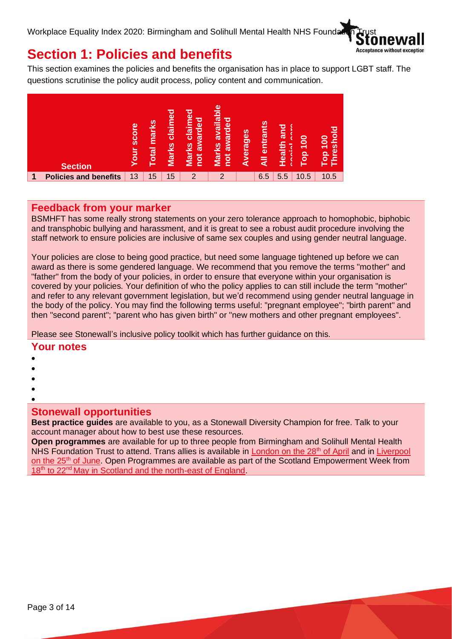

## **Section 1: Policies and benefits**

This section examines the policies and benefits the organisation has in place to support LGBT staff. The questions scrutinise the policy audit process, policy content and communication.



### **Feedback from your marker**

BSMHFT has some really strong statements on your zero tolerance approach to homophobic, biphobic and transphobic bullying and harassment, and it is great to see a robust audit procedure involving the staff network to ensure policies are inclusive of same sex couples and using gender neutral language.

Your policies are close to being good practice, but need some language tightened up before we can award as there is some gendered language. We recommend that you remove the terms "mother" and "father" from the body of your policies, in order to ensure that everyone within your organisation is covered by your policies. Your definition of who the policy applies to can still include the term "mother" and refer to any relevant government legislation, but we'd recommend using gender neutral language in the body of the policy. You may find the following terms useful: "pregnant employee"; "birth parent" and then "second parent"; "parent who has given birth" or "new mothers and other pregnant employees".

Please see Stonewall's inclusive policy toolkit which has further guidance on this.

#### **Your notes**

- •
- •
- •
- •
- •

### **Stonewall opportunities**

**Best practice guides** are available to you, as a Stonewall Diversity Champion for free. Talk to your account manager about how to best use these resources.

**Open programmes** are available for up to three people from Birmingham and Solihull Mental Health NHS Foundation Trust to attend. Trans allies is available in [London on the 28](https://stonewall.typeform.com/to/YIvbWL)<sup>th</sup> of April and in Liverpool [on the 25](https://stonewall.typeform.com/to/Np2Apy)<sup>th</sup> of June. Open Programmes are available as part of the Scotland Empowerment Week from 18<sup>th</sup> to 22<sup>nd</sup> [May in Scotland and the north-east of England.](https://www.stonewallscotland.org.uk/events/stonewall-scotland-empowerment-week-2020)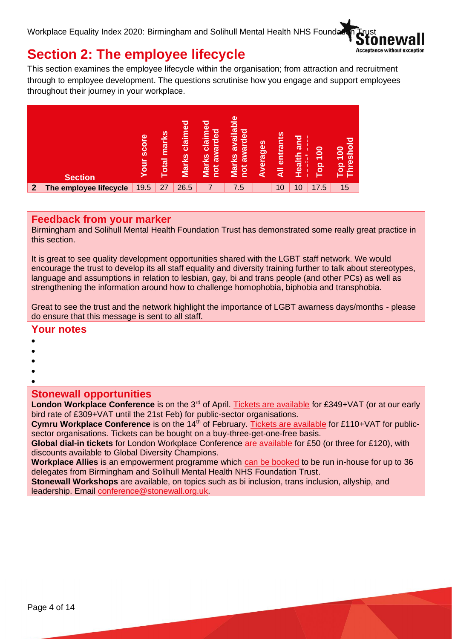

## **Section 2: The employee lifecycle**

This section examines the employee lifecycle within the organisation; from attraction and recruitment through to employee development. The questions scrutinise how you engage and support employees throughout their journey in your workplace.



## **Feedback from your marker**

Birmingham and Solihull Mental Health Foundation Trust has demonstrated some really great practice in this section.

It is great to see quality development opportunities shared with the LGBT staff network. We would encourage the trust to develop its all staff equality and diversity training further to talk about stereotypes, language and assumptions in relation to lesbian, gay, bi and trans people (and other PCs) as well as strengthening the information around how to challenge homophobia, biphobia and transphobia.

Great to see the trust and the network highlight the importance of LGBT awarness days/months - please do ensure that this message is sent to all staff.

### **Your notes**

- •
- •
- •
- •

## **Stonewall opportunities**

London Workplace Conference is on the 3<sup>rd</sup> of April. [Tickets are available](https://www.stonewall.org.uk/events/stonewall-workplace-conference-london-2020) for £349+VAT (or at our early bird rate of £309+VAT until the 21st Feb) for public-sector organisations.

**Cymru Workplace Conference** is on the 14<sup>th</sup> of February. [Tickets are available](https://www.stonewall.org.uk/events/stonewall-cymru-workplace-conference-cardiff-2020) for £110+VAT for publicsector organisations. Tickets can be bought on a buy-three-get-one-free basis.

**Global dial-in tickets** for London Workplace Conference [are available](https://www.stonewall.org.uk/global-lgbt-inclusion-live-stream) for £50 (or three for £120), with discounts available to Global Diversity Champions.

**Workplace Allies** is an empowerment programme which [can be booked](https://www.stonewall.org.uk/workplace-allies-programme) to be run in-house for up to 36 delegates from Birmingham and Solihull Mental Health NHS Foundation Trust.

**Stonewall Workshops** are available, on topics such as bi inclusion, trans inclusion, allyship, and leadership. Email [conference@stonewall.org.uk.](mailto:conference@stonewall.org.uk)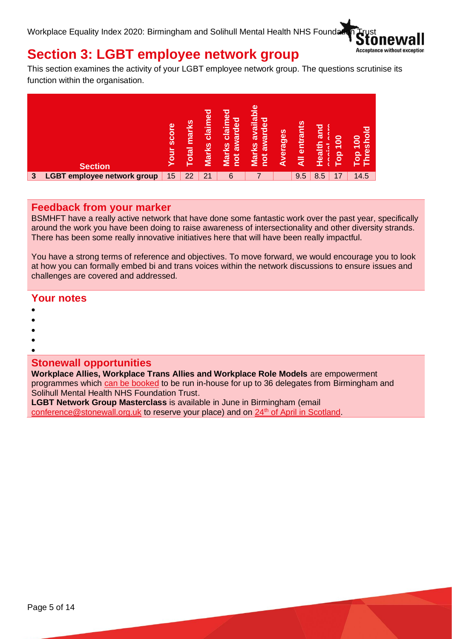

# **Section 3: LGBT employee network group**

This section examines the activity of your LGBT employee network group. The questions scrutinise its function within the organisation.



## **Feedback from your marker**

BSMHFT have a really active network that have done some fantastic work over the past year, specifically around the work you have been doing to raise awareness of intersectionality and other diversity strands. There has been some really innovative initiatives here that will have been really impactful.

You have a strong terms of reference and objectives. To move forward, we would encourage you to look at how you can formally embed bi and trans voices within the network discussions to ensure issues and challenges are covered and addressed.

### **Your notes**

- •
- •
- •
- •
- •

### **Stonewall opportunities**

**Workplace Allies, Workplace Trans Allies and Workplace Role Models** are empowerment programmes which [can be booked](https://www.stonewall.org.uk/programmes-and-opportunities) to be run in-house for up to 36 delegates from Birmingham and Solihull Mental Health NHS Foundation Trust.

**LGBT Network Group Masterclass** is available in June in Birmingham (email [conference@stonewall.org.uk](mailto:conference@stonewall.org.uk) to reserve your place) and on 24<sup>th</sup> [of April in Scotland.](https://www.stonewallscotland.org.uk/events/stonewall-scotland-network-group-masterclass)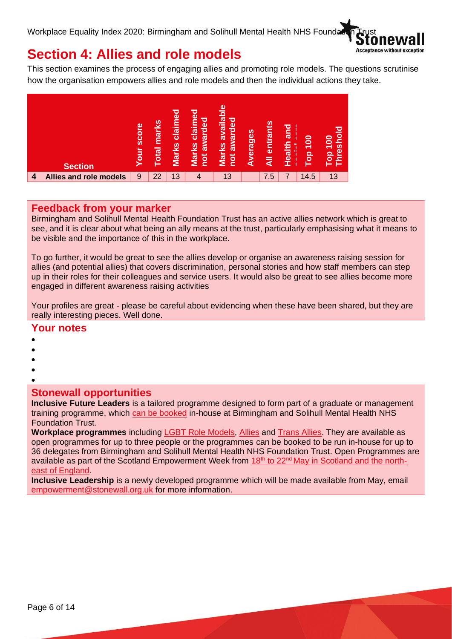

## **Section 4: Allies and role models**

This section examines the process of engaging allies and promoting role models. The questions scrutinise how the organisation empowers allies and role models and then the individual actions they take.



## **Feedback from your marker**

Birmingham and Solihull Mental Health Foundation Trust has an active allies network which is great to see, and it is clear about what being an ally means at the trust, particularly emphasising what it means to be visible and the importance of this in the workplace.

To go further, it would be great to see the allies develop or organise an awareness raising session for allies (and potential allies) that covers discrimination, personal stories and how staff members can step up in their roles for their colleagues and service users. It would also be great to see allies become more engaged in different awareness raising activities

Your profiles are great - please be careful about evidencing when these have been shared, but they are really interesting pieces. Well done.

### **Your notes**

- •
- •
- •
- •
- •

## **Stonewall opportunities**

**Inclusive Future Leaders** is a tailored programme designed to form part of a graduate or management training programme, which [can be booked](https://www.stonewall.org.uk/stonewall-stories-category/workplace/inclusive-future-leaders) in-house at Birmingham and Solihull Mental Health NHS Foundation Trust.

**Workplace programmes** including [LGBT Role Models,](https://www.stonewall.org.uk/lgbt-workplace-role-models-programme) [Allies](https://www.stonewall.org.uk/workplace-allies-programme) and [Trans Allies.](https://www.stonewall.org.uk/workplace-trans-allies-programme) They are available as open programmes for up to three people or the programmes can be booked to be run in-house for up to 36 delegates from Birmingham and Solihull Mental Health NHS Foundation Trust. Open Programmes are available as part of the Scotland Empowerment Week from 18<sup>th</sup> to 22<sup>nd</sup> [May in Scotland and the north](https://www.stonewallscotland.org.uk/events/stonewall-scotland-empowerment-week-2020)[east of England.](https://www.stonewallscotland.org.uk/events/stonewall-scotland-empowerment-week-2020)

**Inclusive Leadership** is a newly developed programme which will be made available from May, email [empowerment@stonewall.org.uk](mailto:empowerment@stonewall.org.uk) for more information.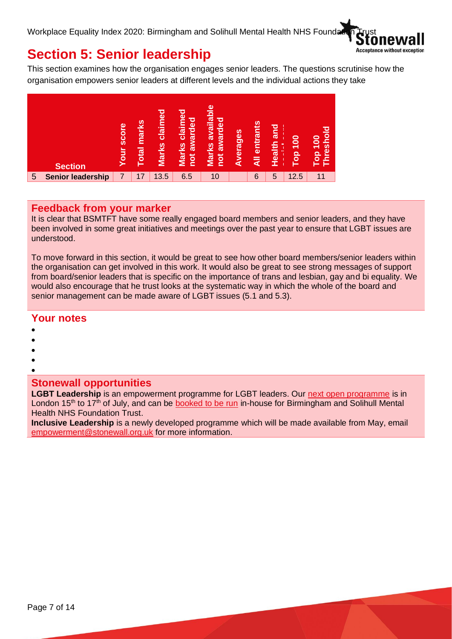

## **Section 5: Senior leadership**

This section examines how the organisation engages senior leaders. The questions scrutinise how the organisation empowers senior leaders at different levels and the individual actions they take



## **Feedback from your marker**

It is clear that BSMTFT have some really engaged board members and senior leaders, and they have been involved in some great initiatives and meetings over the past year to ensure that LGBT issues are understood.

To move forward in this section, it would be great to see how other board members/senior leaders within the organisation can get involved in this work. It would also be great to see strong messages of support from board/senior leaders that is specific on the importance of trans and lesbian, gay and bi equality. We would also encourage that he trust looks at the systematic way in which the whole of the board and senior management can be made aware of LGBT issues (5.1 and 5.3).

#### **Your notes**

- •
- •
- •
- •

#### • **Stonewall opportunities**

**LGBT Leadership** is an empowerment programme for LGBT leaders. Our [next open programme](https://www.stonewall.org.uk/get-involved/attend-event/workplace-events/lgbt-leadership-programme) is in London  $15<sup>th</sup>$  to  $17<sup>th</sup>$  of July, and can be [booked to be run](https://www.stonewall.org.uk/get-involved/attend-event/workplace-events/lgbt-leadership-programme) in-house for Birmingham and Solihull Mental Health NHS Foundation Trust.

**Inclusive Leadership** is a newly developed programme which will be made available from May, email [empowerment@stonewall.org.uk](mailto:empowerment@stonewall.org.uk) for more information.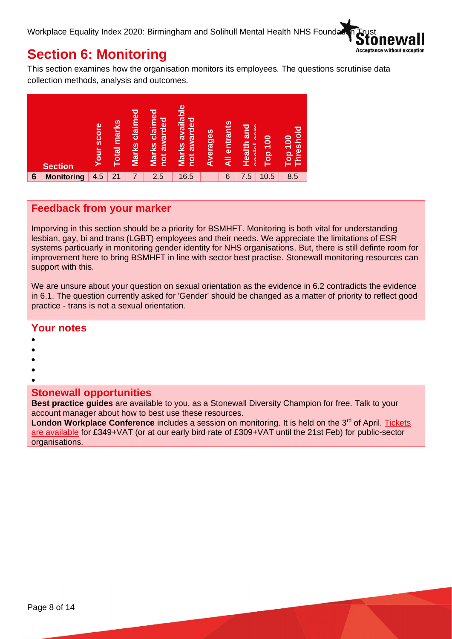

## **Section 6: Monitoring**

This section examines how the organisation monitors its employees. The questions scrutinise data collection methods, analysis and outcomes.



## **Feedback from your marker**

Imporving in this section should be a priority for BSMHFT. Monitoring is both vital for understanding lesbian, gay, bi and trans (LGBT) employees and their needs. We appreciate the limitations of ESR systems particuarly in monitoring gender identity for NHS organisations. But, there is still definte room for improvement here to bring BSMHFT in line with sector best practise. Stonewall monitoring resources can support with this.

We are unsure about your question on sexual orientation as the evidence in 6.2 contradicts the evidence in 6.1. The question currently asked for 'Gender' should be changed as a matter of priority to reflect good practice - trans is not a sexual orientation.

### **Your notes**

- •
- •
- •
- •
- •

## **Stonewall opportunities**

**Best practice guides** are available to you, as a Stonewall Diversity Champion for free. Talk to your account manager about how to best use these resources.

London Workplace Conference includes a session on monitoring. It is held on the 3<sup>rd</sup> of April. Tickets [are available](https://www.stonewall.org.uk/events/stonewall-workplace-conference-london-2020) for £349+VAT (or at our early bird rate of £309+VAT until the 21st Feb) for public-sector organisations.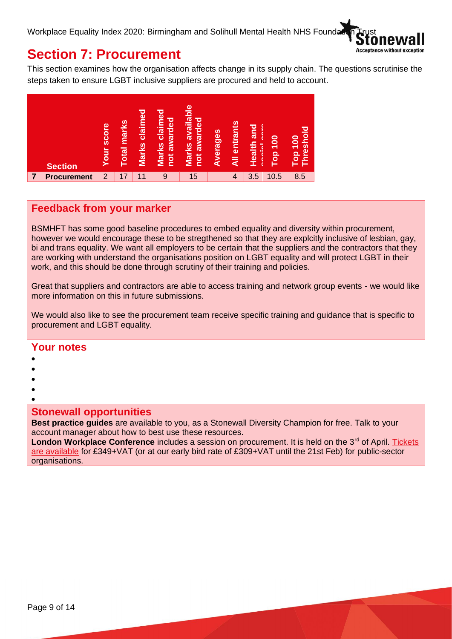

## **Section 7: Procurement**

This section examines how the organisation affects change in its supply chain. The questions scrutinise the steps taken to ensure LGBT inclusive suppliers are procured and held to account.



## **Feedback from your marker**

BSMHFT has some good baseline procedures to embed equality and diversity within procurement, however we would encourage these to be stregthened so that they are explcitly inclusive of lesbian, gay, bi and trans equality. We want all employers to be certain that the suppliers and the contractors that they are working with understand the organisations position on LGBT equality and will protect LGBT in their work, and this should be done through scrutiny of their training and policies.

Great that suppliers and contractors are able to access training and network group events - we would like more information on this in future submissions.

We would also like to see the procurement team receive specific training and quidance that is specific to procurement and LGBT equality.

#### **Your notes**

- •
- •
- •
- •
- •

### **Stonewall opportunities**

**Best practice guides** are available to you, as a Stonewall Diversity Champion for free. Talk to your account manager about how to best use these resources.

London Workplace Conference includes a session on procurement. It is held on the 3<sup>rd</sup> of April. Tickets [are available](https://www.stonewall.org.uk/events/stonewall-workplace-conference-london-2020) for £349+VAT (or at our early bird rate of £309+VAT until the 21st Feb) for public-sector organisations.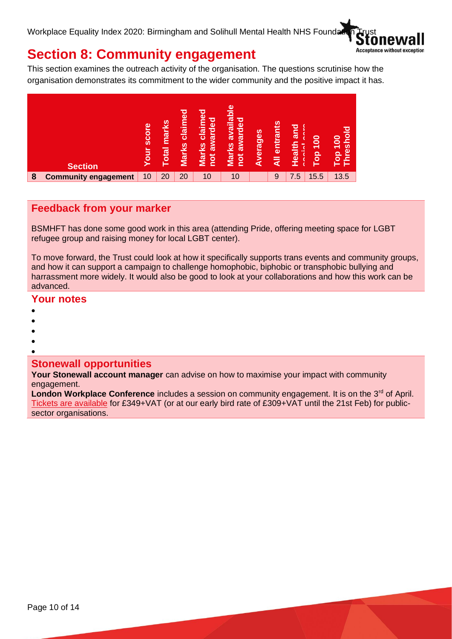

## **Section 8: Community engagement**

This section examines the outreach activity of the organisation. The questions scrutinise how the organisation demonstrates its commitment to the wider community and the positive impact it has.



## **Feedback from your marker**

BSMHFT has done some good work in this area (attending Pride, offering meeting space for LGBT refugee group and raising money for local LGBT center).

To move forward, the Trust could look at how it specifically supports trans events and community groups, and how it can support a campaign to challenge homophobic, biphobic or transphobic bullying and harrassment more widely. It would also be good to look at your collaborations and how this work can be advanced.

### **Your notes**

- •
- •
- •
- •
- •

### **Stonewall opportunities**

**Your Stonewall account manager** can advise on how to maximise your impact with community engagement.

**London Workplace Conference** includes a session on community engagement. It is on the 3<sup>rd</sup> of April. [Tickets are available](https://www.stonewall.org.uk/events/stonewall-workplace-conference-london-2020) for £349+VAT (or at our early bird rate of £309+VAT until the 21st Feb) for publicsector organisations.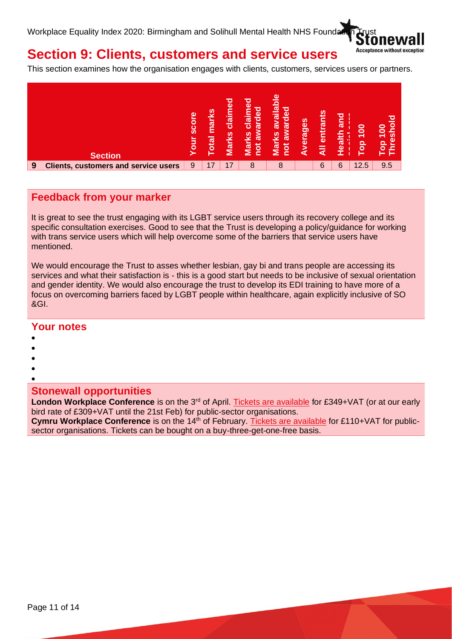

# **Section 9: Clients, customers and service users**

This section examines how the organisation engages with clients, customers, services users or partners.

|   | <b>Section</b>                              | score<br>jno | marks<br><b>Total</b> | claimed<br><b>Marks</b> | ℧<br>$\mathbf{\Omega}$<br>ष्ठ<br>è<br>►<br>►<br><u>៊េ</u><br>o<br>$\mathbf c$<br>ಹ<br><u>S</u><br>నె<br><u>Nar</u><br>not | ω<br>availabl<br>awarded<br>Marks<br><u><b>pd</b></u> | Averages | S<br>entrant<br>₹ | and<br>Health | $\frac{8}{100}$<br><b>a</b> | ত<br>ē<br>$\overline{100}$<br>$\boldsymbol{\omega}$<br>$\omega$<br><u>ခ</u><br>s. |
|---|---------------------------------------------|--------------|-----------------------|-------------------------|---------------------------------------------------------------------------------------------------------------------------|-------------------------------------------------------|----------|-------------------|---------------|-----------------------------|-----------------------------------------------------------------------------------|
| 9 | <b>Clients, customers and service users</b> | 9            | 17                    | 17                      | 8                                                                                                                         | 8                                                     |          | 6                 | 6             | 12.5                        | 9.5                                                                               |

### **Feedback from your marker**

It is great to see the trust engaging with its LGBT service users through its recovery college and its specific consultation exercises. Good to see that the Trust is developing a policy/guidance for working with trans service users which will help overcome some of the barriers that service users have mentioned.

We would encourage the Trust to asses whether lesbian, gay bi and trans people are accessing its services and what their satisfaction is - this is a good start but needs to be inclusive of sexual orientation and gender identity. We would also encourage the trust to develop its EDI training to have more of a focus on overcoming barriers faced by LGBT people within healthcare, again explicitly inclusive of SO &GI.

### **Your notes**

- •
- •
- •
- •
- •

### **Stonewall opportunities**

London Workplace Conference is on the 3<sup>rd</sup> of April. [Tickets are available](https://www.stonewall.org.uk/events/stonewall-workplace-conference-london-2020) for £349+VAT (or at our early bird rate of £309+VAT until the 21st Feb) for public-sector organisations.

**Cymru Workplace Conference** is on the 14<sup>th</sup> of February. [Tickets are available](https://www.stonewall.org.uk/events/stonewall-cymru-workplace-conference-cardiff-2020) for £110+VAT for publicsector organisations. Tickets can be bought on a buy-three-get-one-free basis.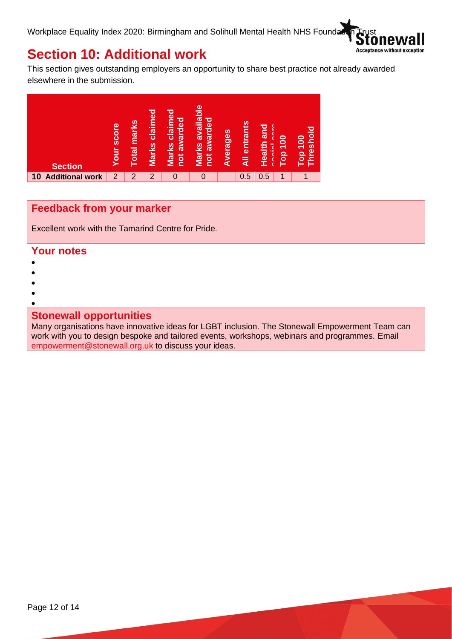

## **Section 10: Additional work**

This section gives outstanding employers an opportunity to share best practice not already awarded elsewhere in the submission.



## **Feedback from your marker**

Excellent work with the Tamarind Centre for Pride.

#### **Your notes**

- •
- •
- •
- •

### **Stonewall opportunities**

Many organisations have innovative ideas for LGBT inclusion. The Stonewall Empowerment Team can work with you to design bespoke and tailored events, workshops, webinars and programmes. Email [empowerment@stonewall.org.uk](mailto:empowerment@stonewall.org.uk) to discuss your ideas.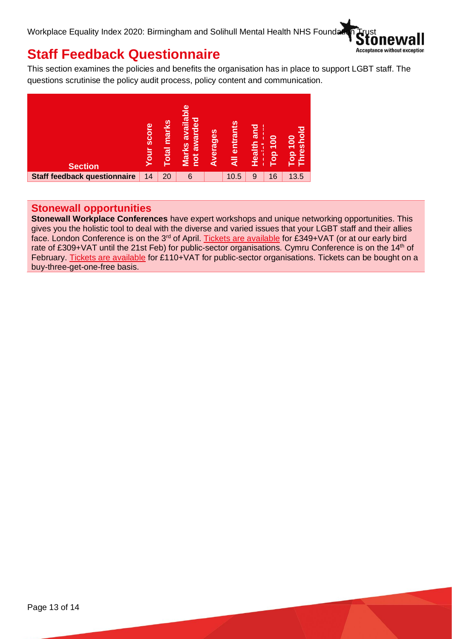

# **Staff Feedback Questionnaire**

This section examines the policies and benefits the organisation has in place to support LGBT staff. The questions scrutinise the policy audit process, policy content and communication.



## **Stonewall opportunities**

**Stonewall Workplace Conferences** have expert workshops and unique networking opportunities. This gives you the holistic tool to deal with the diverse and varied issues that your LGBT staff and their allies face. London Conference is on the 3<sup>rd</sup> of April. [Tickets are available](https://www.stonewall.org.uk/events/stonewall-workplace-conference-london-2020) for £349+VAT (or at our early bird rate of £309+VAT until the 21st Feb) for public-sector organisations. Cymru Conference is on the 14<sup>th</sup> of February. [Tickets are available](https://www.stonewall.org.uk/events/stonewall-cymru-workplace-conference-cardiff-2020) for £110+VAT for public-sector organisations. Tickets can be bought on a buy-three-get-one-free basis.